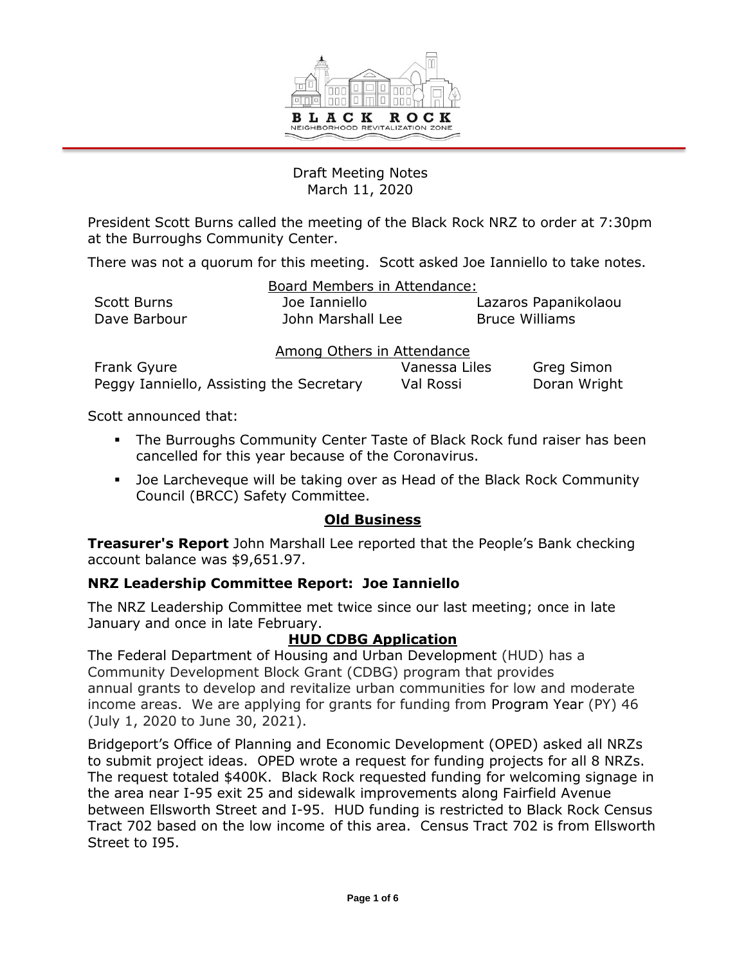

# Draft Meeting Notes March 11, 2020

President Scott Burns called the meeting of the Black Rock NRZ to order at 7:30pm at the Burroughs Community Center.

There was not a quorum for this meeting. Scott asked Joe Ianniello to take notes.

| Board Members in Attendance: |                   |                       |  |  |
|------------------------------|-------------------|-----------------------|--|--|
| Scott Burns                  | Joe Ianniello     | Lazaros Papanikolaou  |  |  |
| Dave Barbour                 | John Marshall Lee | <b>Bruce Williams</b> |  |  |

| Among Others in Attendance               |               |              |  |  |
|------------------------------------------|---------------|--------------|--|--|
| Frank Gyure                              | Vanessa Liles | Greg Simon   |  |  |
| Peggy Ianniello, Assisting the Secretary | Val Rossi     | Doran Wright |  |  |

Scott announced that:

- The Burroughs Community Center Taste of Black Rock fund raiser has been cancelled for this year because of the Coronavirus.
- Joe Larcheveque will be taking over as Head of the Black Rock Community Council (BRCC) Safety Committee.

# **Old Business**

**Treasurer's Report** John Marshall Lee reported that the People's Bank checking account balance was \$9,651.97.

# **NRZ Leadership Committee Report: Joe Ianniello**

The NRZ Leadership Committee met twice since our last meeting; once in late January and once in late February.

# **HUD CDBG Application**

The Federal Department of Housing and Urban Development (HUD) has a Community Development Block Grant (CDBG) program that provides annual grants to develop and revitalize urban communities for low and moderate income areas. We are applying for grants for funding from Program Year (PY) 46 (July 1, 2020 to June 30, 2021).

Bridgeport's Office of Planning and Economic Development (OPED) asked all NRZs to submit project ideas. OPED wrote a request for funding projects for all 8 NRZs. The request totaled \$400K. Black Rock requested funding for welcoming signage in the area near I-95 exit 25 and sidewalk improvements along Fairfield Avenue between Ellsworth Street and I-95. HUD funding is restricted to Black Rock Census Tract 702 based on the low income of this area. Census Tract 702 is from Ellsworth Street to I95.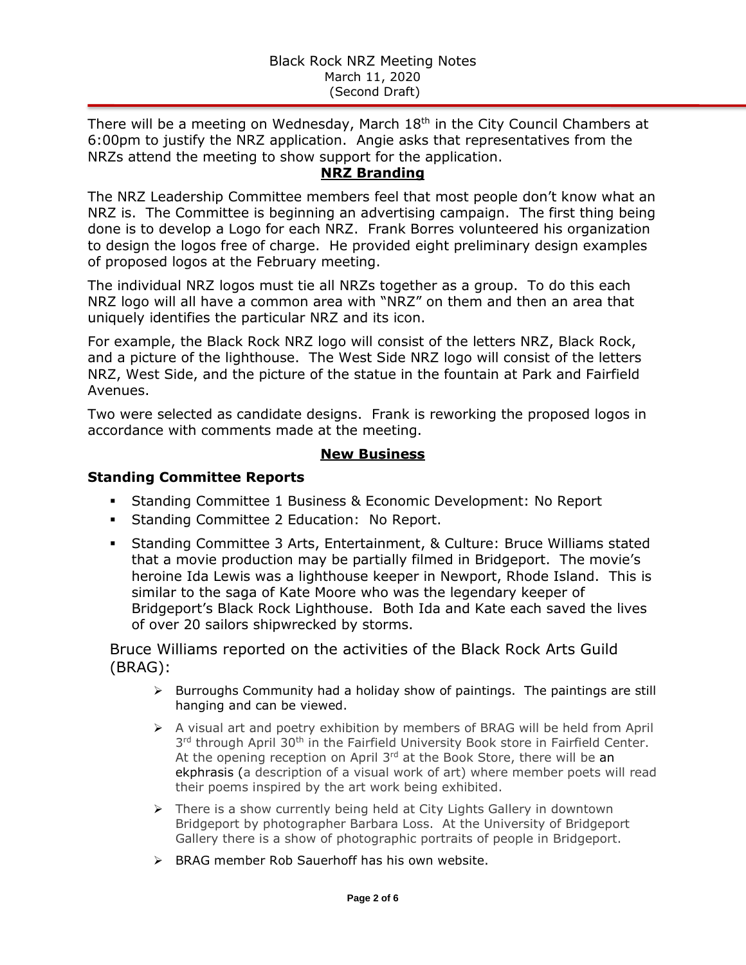There will be a meeting on Wednesday, March  $18<sup>th</sup>$  in the City Council Chambers at 6:00pm to justify the NRZ application. Angie asks that representatives from the NRZs attend the meeting to show support for the application.

# **NRZ Branding**

The NRZ Leadership Committee members feel that most people don't know what an NRZ is. The Committee is beginning an advertising campaign. The first thing being done is to develop a Logo for each NRZ. Frank Borres volunteered his organization to design the logos free of charge. He provided eight preliminary design examples of proposed logos at the February meeting.

The individual NRZ logos must tie all NRZs together as a group. To do this each NRZ logo will all have a common area with "NRZ" on them and then an area that uniquely identifies the particular NRZ and its icon.

For example, the Black Rock NRZ logo will consist of the letters NRZ, Black Rock, and a picture of the lighthouse. The West Side NRZ logo will consist of the letters NRZ, West Side, and the picture of the statue in the fountain at Park and Fairfield Avenues.

Two were selected as candidate designs. Frank is reworking the proposed logos in accordance with comments made at the meeting.

## **New Business**

## **Standing Committee Reports**

- Standing Committee 1 Business & Economic Development: No Report
- **Standing Committee 2 Education: No Report.**
- Standing Committee 3 Arts, Entertainment, & Culture: Bruce Williams stated that a movie production may be partially filmed in Bridgeport. The movie's heroine Ida Lewis was a lighthouse keeper in Newport, Rhode Island. This is similar to the saga of Kate Moore who was the legendary keeper of Bridgeport's Black Rock Lighthouse. Both Ida and Kate each saved the lives of over 20 sailors shipwrecked by storms.

Bruce Williams reported on the activities of the Black Rock Arts Guild (BRAG):

- $\triangleright$  Burroughs Community had a holiday show of paintings. The paintings are still hanging and can be viewed.
- $\triangleright$  A visual art and poetry exhibition by members of BRAG will be held from April 3<sup>rd</sup> through April 30<sup>th</sup> in the Fairfield University Book store in Fairfield Center. At the opening reception on April  $3<sup>rd</sup>$  at the Book Store, there will be an ekphrasis (a description of a visual work of art) where member poets will read their poems inspired by the art work being exhibited.
- $\triangleright$  There is a show currently being held at City Lights Gallery in downtown Bridgeport by photographer Barbara Loss. At the University of Bridgeport Gallery there is a show of photographic portraits of people in Bridgeport.
- $\triangleright$  BRAG member Rob Sauerhoff has his own website.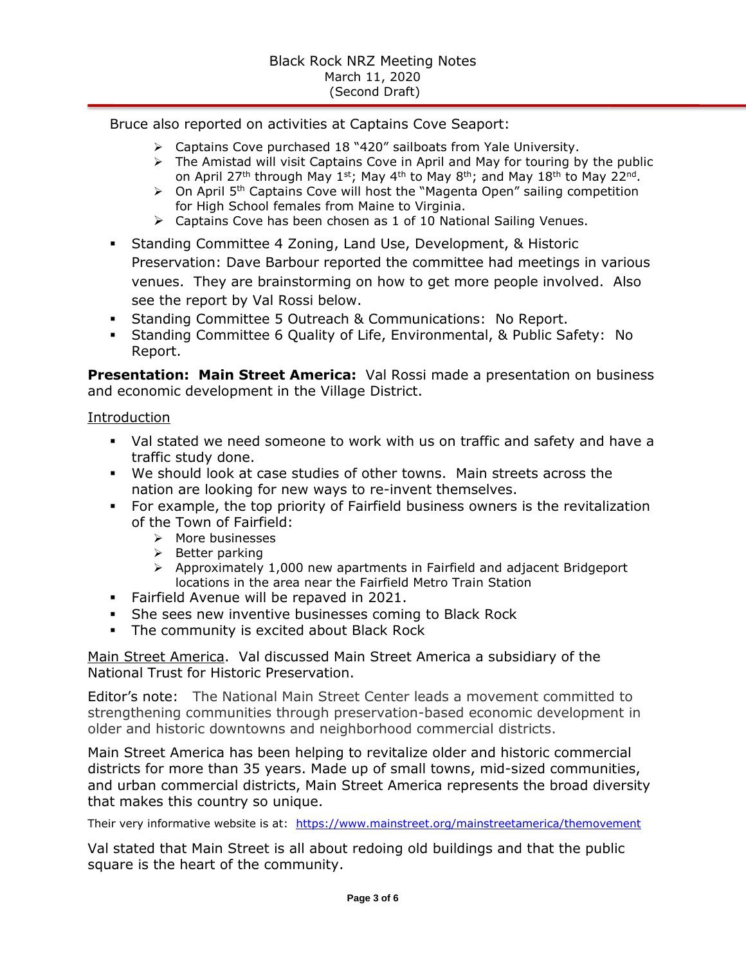Bruce also reported on activities at Captains Cove Seaport:

- Captains Cove purchased 18 "420" sailboats from Yale University.
	- $\triangleright$  The Amistad will visit Captains Cove in April and May for touring by the public on April 27<sup>th</sup> through May 1<sup>st</sup>; May 4<sup>th</sup> to May 8<sup>th</sup>; and May 18<sup>th</sup> to May 22<sup>nd</sup>.
	- $\triangleright$  On April 5<sup>th</sup> Captains Cove will host the "Magenta Open" sailing competition for High School females from Maine to Virginia.
	- Captains Cove has been chosen as 1 of 10 National Sailing Venues.
- Standing Committee 4 Zoning, Land Use, Development, & Historic Preservation: Dave Barbour reported the committee had meetings in various venues. They are brainstorming on how to get more people involved. Also see the report by Val Rossi below.
- Standing Committee 5 Outreach & Communications: No Report.
- Standing Committee 6 Quality of Life, Environmental, & Public Safety: No Report.

**Presentation: Main Street America:** Val Rossi made a presentation on business and economic development in the Village District.

Introduction

- Val stated we need someone to work with us on traffic and safety and have a traffic study done.
- We should look at case studies of other towns. Main streets across the nation are looking for new ways to re-invent themselves.
- For example, the top priority of Fairfield business owners is the revitalization of the Town of Fairfield:
	- $\triangleright$  More businesses
	- $\triangleright$  Better parking
	- $\triangleright$  Approximately 1,000 new apartments in Fairfield and adjacent Bridgeport locations in the area near the Fairfield Metro Train Station
- **Fairfield Avenue will be repaved in 2021.**
- **She sees new inventive businesses coming to Black Rock**
- **The community is excited about Black Rock**

Main Street America. Val discussed Main Street America a subsidiary of the National Trust for Historic Preservation.

Editor's note: The National Main Street Center leads a movement committed to strengthening communities through preservation-based economic development in older and historic downtowns and neighborhood commercial districts.

Main Street America has been helping to revitalize older and historic commercial districts for more than 35 years. Made up of small towns, mid-sized communities, and urban commercial districts, Main Street America represents the broad diversity that makes this country so unique.

Their very informative website is at: https://www.mainstreet.org/mainstreetamerica/themovement

Val stated that Main Street is all about redoing old buildings and that the public square is the heart of the community.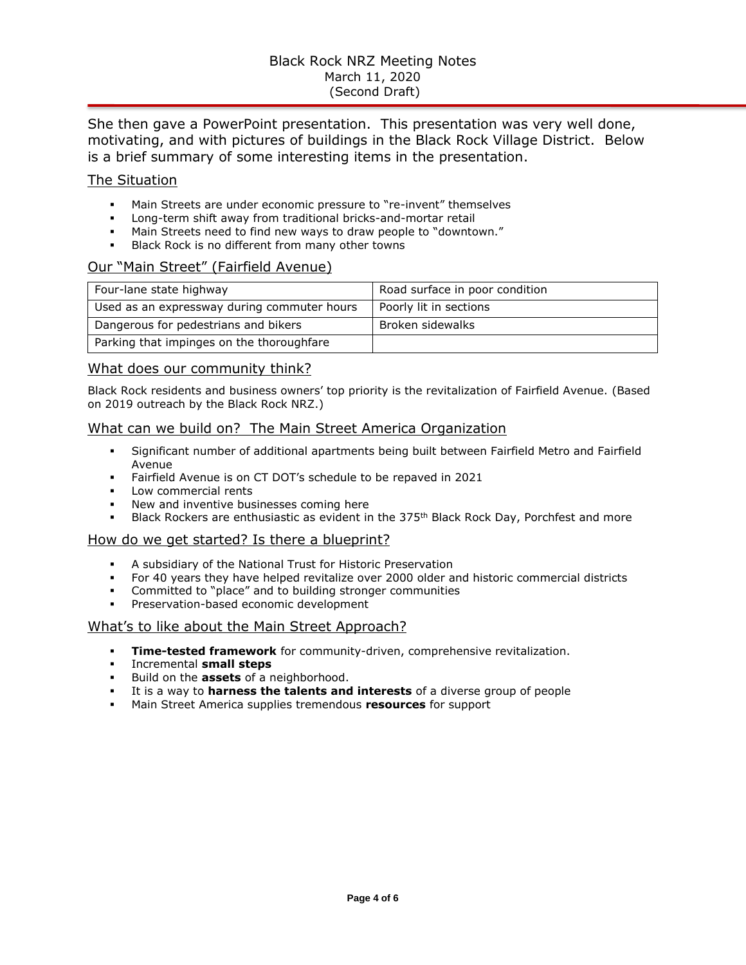## Black Rock NRZ Meeting Notes March 11, 2020 (Second Draft)

She then gave a PowerPoint presentation. This presentation was very well done, motivating, and with pictures of buildings in the Black Rock Village District. Below is a brief summary of some interesting items in the presentation.

### The Situation

- Main Streets are under economic pressure to "re-invent" themselves
- Long-term shift away from traditional bricks-and-mortar retail
- Main Streets need to find new ways to draw people to "downtown."
- Black Rock is no different from many other towns

## Our "Main Street" (Fairfield Avenue)

| Four-lane state highway                     | Road surface in poor condition |
|---------------------------------------------|--------------------------------|
| Used as an expressway during commuter hours | Poorly lit in sections         |
| Dangerous for pedestrians and bikers        | Broken sidewalks               |
| Parking that impinges on the thoroughfare   |                                |

#### What does our community think?

Black Rock residents and business owners' top priority is the revitalization of Fairfield Avenue. (Based on 2019 outreach by the Black Rock NRZ.)

### What can we build on? The Main Street America Organization

- Significant number of additional apartments being built between Fairfield Metro and Fairfield Avenue
- Fairfield Avenue is on CT DOT's schedule to be repaved in 2021
- **Low commercial rents**
- New and inventive businesses coming here
- Black Rockers are enthusiastic as evident in the 375<sup>th</sup> Black Rock Day, Porchfest and more

#### How do we get started? Is there a blueprint?

- A subsidiary of the National Trust for Historic Preservation
- For 40 years they have helped revitalize over 2000 older and historic commercial districts
- Committed to "place" and to building stronger communities
- Preservation-based economic development

#### What's to like about the Main Street Approach?

- **Time-tested framework** for community-driven, comprehensive revitalization.
- Incremental **small steps**
- Build on the **assets** of a neighborhood.
- It is a way to **harness the talents and interests** of a diverse group of people
- Main Street America supplies tremendous **resources** for support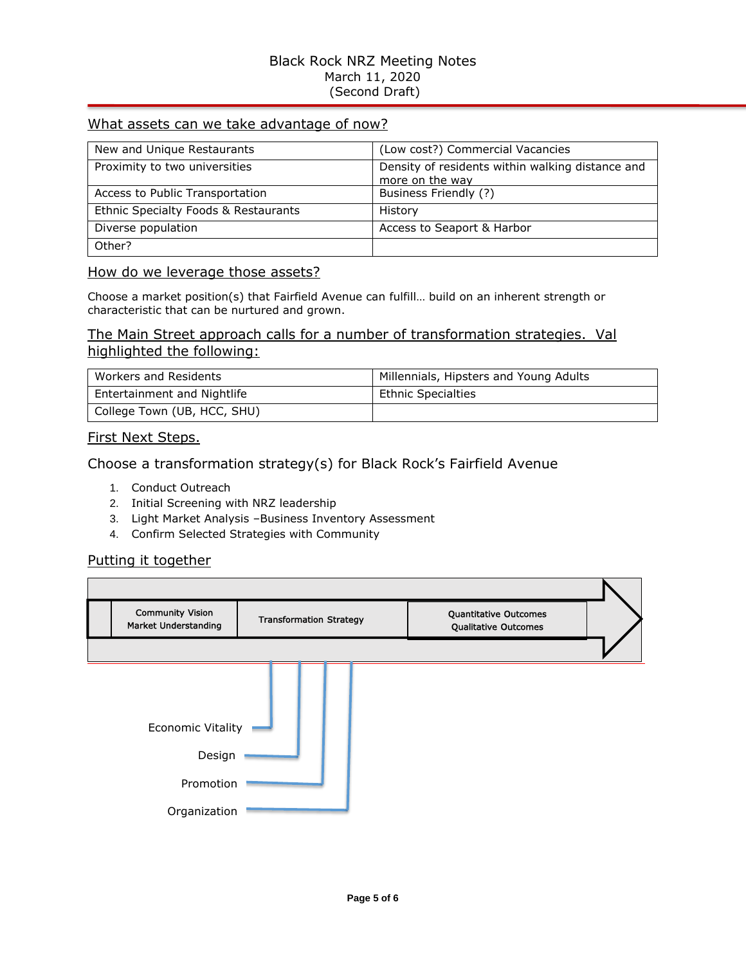## Black Rock NRZ Meeting Notes March 11, 2020 (Second Draft)

## What assets can we take advantage of now?

| New and Unique Restaurants           | (Low cost?) Commercial Vacancies                 |
|--------------------------------------|--------------------------------------------------|
| Proximity to two universities        | Density of residents within walking distance and |
|                                      | more on the way                                  |
| Access to Public Transportation      | Business Friendly (?)                            |
| Ethnic Specialty Foods & Restaurants | History                                          |
| Diverse population                   | Access to Seaport & Harbor                       |
| Other?                               |                                                  |

### How do we leverage those assets?

Choose a market position(s) that Fairfield Avenue can fulfill… build on an inherent strength or characteristic that can be nurtured and grown.

## The Main Street approach calls for a number of transformation strategies. Val highlighted the following:

| Workers and Residents       | Millennials, Hipsters and Young Adults |
|-----------------------------|----------------------------------------|
| Entertainment and Nightlife | <b>Ethnic Specialties</b>              |
| College Town (UB, HCC, SHU) |                                        |

### First Next Steps.

## Choose a transformation strategy(s) for Black Rock's Fairfield Avenue

- 1. Conduct Outreach
- 2. Initial Screening with NRZ leadership
- 3. Light Market Analysis –Business Inventory Assessment
- 4. Confirm Selected Strategies with Community

## Putting it together